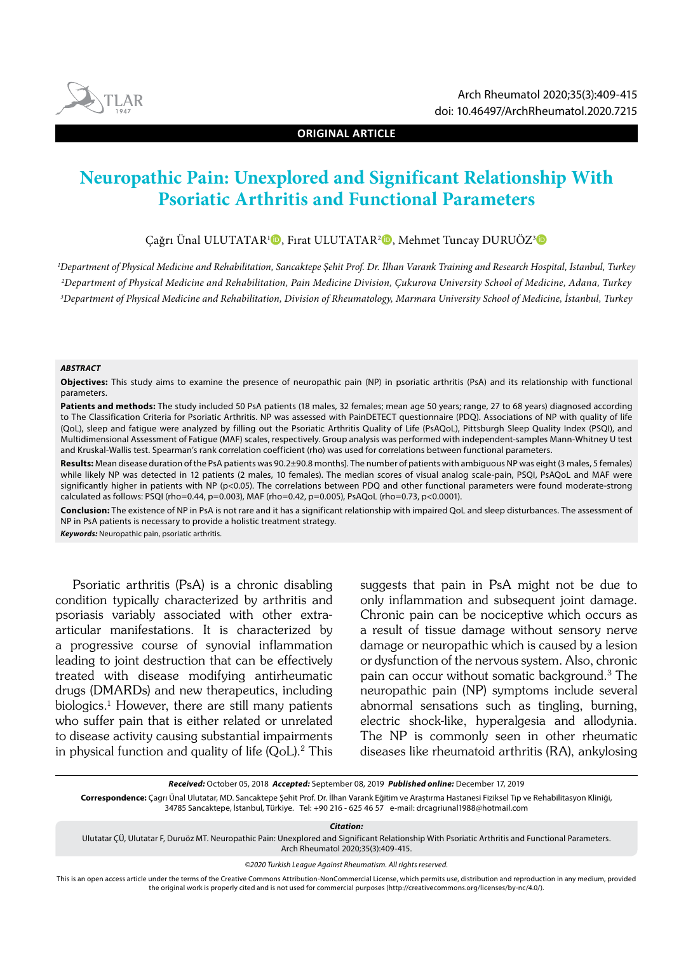

**ORIGINAL ARTICLE**

# **Neuropathic Pain: Unexplored and Significant Relationship With Psoriatic Arthritis and Functional Parameters**

Çağrı Ünal ULUTATAR<sup>ı</sup>D, Fırat ULUTATAR<sup>2</sup>D, Mehmet Tuncay DURUÖZ<sup>3</sup>D

*1 Department of Physical Medicine and Rehabilitation, Sancaktepe Şehit Prof. Dr. İlhan Varank Training and Research Hospital, İstanbul, Turkey 2 Department of Physical Medicine and Rehabilitation, Pain Medicine Division, Çukurova University School of Medicine, Adana, Turkey 3 Department of Physical Medicine and Rehabilitation, Division of Rheumatology, Marmara University School of Medicine, İstanbul, Turkey*

#### *ABSTRACT*

**Objectives:** This study aims to examine the presence of neuropathic pain (NP) in psoriatic arthritis (PsA) and its relationship with functional parameters.

Patients and methods: The study included 50 PsA patients (18 males, 32 females; mean age 50 years; range, 27 to 68 years) diagnosed according to The Classification Criteria for Psoriatic Arthritis. NP was assessed with PainDETECT questionnaire (PDQ). Associations of NP with quality of life (QoL), sleep and fatigue were analyzed by filling out the Psoriatic Arthritis Quality of Life (PsAQoL), Pittsburgh Sleep Quality Index (PSQI), and Multidimensional Assessment of Fatigue (MAF) scales, respectively. Group analysis was performed with independent-samples Mann-Whitney U test and Kruskal-Wallis test. Spearman's rank correlation coefficient (rho) was used for correlations between functional parameters.

**Results:** Mean disease duration of the PsA patients was 90.2±90.8 months]. The number of patients with ambiguous NP was eight (3 males, 5 females) while likely NP was detected in 12 patients (2 males, 10 females). The median scores of visual analog scale-pain, PSQI, PsAQoL and MAF were significantly higher in patients with NP (p<0.05). The correlations between PDQ and other functional parameters were found moderate-strong calculated as follows: PSQI (rho=0.44, p=0.003), MAF (rho=0.42, p=0.005), PsAQoL (rho=0.73, p<0.0001).

**Conclusion:** The existence of NP in PsA is not rare and it has a significant relationship with impaired QoL and sleep disturbances. The assessment of NP in PsA patients is necessary to provide a holistic treatment strategy.

*Keywords:* Neuropathic pain, psoriatic arthritis.

Psoriatic arthritis (PsA) is a chronic disabling condition typically characterized by arthritis and psoriasis variably associated with other extraarticular manifestations. It is characterized by a progressive course of synovial inflammation leading to joint destruction that can be effectively treated with disease modifying antirheumatic drugs (DMARDs) and new therapeutics, including biologics.1 However, there are still many patients who suffer pain that is either related or unrelated to disease activity causing substantial impairments in physical function and quality of life  $(QoL).<sup>2</sup>$  This

suggests that pain in PsA might not be due to only inflammation and subsequent joint damage. Chronic pain can be nociceptive which occurs as a result of tissue damage without sensory nerve damage or neuropathic which is caused by a lesion or dysfunction of the nervous system. Also, chronic pain can occur without somatic background.3 The neuropathic pain (NP) symptoms include several abnormal sensations such as tingling, burning, electric shock-like, hyperalgesia and allodynia. The NP is commonly seen in other rheumatic diseases like rheumatoid arthritis (RA), ankylosing

*Received:* October 05, 2018 *Accepted:* September 08, 2019 *Published online:* December 17, 2019

**Correspondence:** Çagrı Ünal Ulutatar, MD. Sancaktepe Şehit Prof. Dr. İlhan Varank Eğitim ve Araştırma Hastanesi Fiziksel Tıp ve Rehabilitasyon Kliniği, 34785 Sancaktepe, İstanbul, Türkiye. Tel: +90 216 - 625 46 57 e-mail: drcagriunal1988@hotmail.com

*Citation:*

Ulutatar ÇÜ, Ulutatar F, Duruöz MT. Neuropathic Pain: Unexplored and Significant Relationship With Psoriatic Arthritis and Functional Parameters. Arch Rheumatol 2020;35(3):409-415.

*©2020 Turkish League Against Rheumatism. All rights reserved.*

This is an open access article under the terms of the Creative Commons Attribution-NonCommercial License, which permits use, distribution and reproduction in any medium, provided the original work is properly cited and is not used for commercial purposes (http://creativecommons.org/licenses/by-nc/4.0/).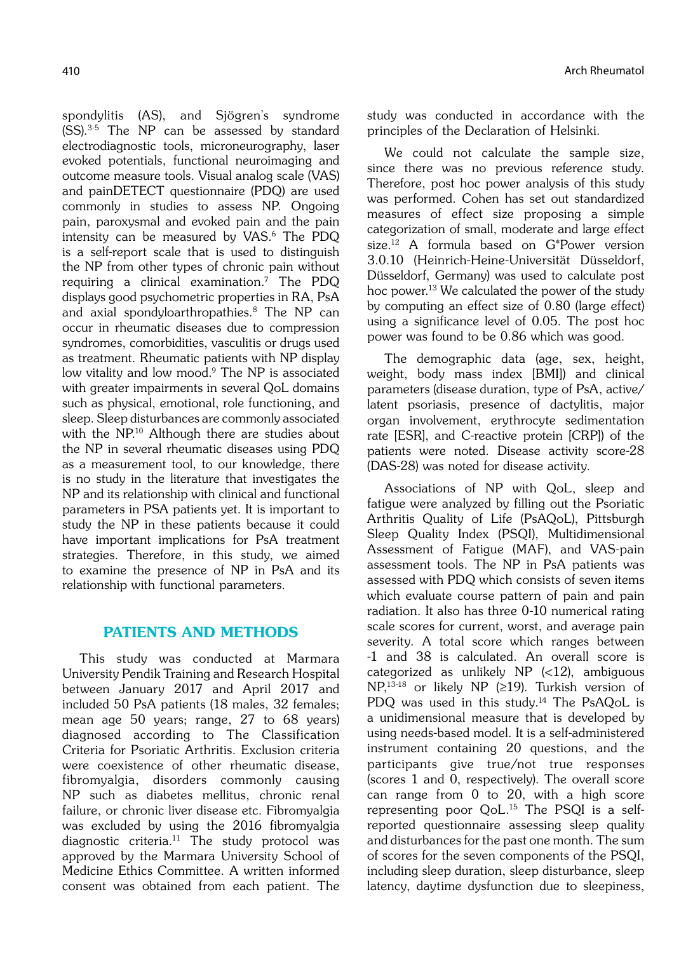spondylitis (AS), and Sjögren's syndrome (SS).3-5 The NP can be assessed by standard electrodiagnostic tools, microneurography, laser evoked potentials, functional neuroimaging and outcome measure tools. Visual analog scale (VAS) and painDETECT questionnaire (PDQ) are used commonly in studies to assess NP. Ongoing pain, paroxysmal and evoked pain and the pain intensity can be measured by VAS.6 The PDQ is a self-report scale that is used to distinguish the NP from other types of chronic pain without requiring a clinical examination.7 The PDQ displays good psychometric properties in RA, PsA and axial spondyloarthropathies.8 The NP can occur in rheumatic diseases due to compression syndromes, comorbidities, vasculitis or drugs used as treatment. Rheumatic patients with NP display low vitality and low mood.<sup>9</sup> The NP is associated with greater impairments in several QoL domains such as physical, emotional, role functioning, and sleep. Sleep disturbances are commonly associated with the NP.<sup>10</sup> Although there are studies about the NP in several rheumatic diseases using PDQ as a measurement tool, to our knowledge, there is no study in the literature that investigates the NP and its relationship with clinical and functional parameters in PSA patients yet. It is important to study the NP in these patients because it could have important implications for PsA treatment strategies. Therefore, in this study, we aimed to examine the presence of NP in PsA and its relationship with functional parameters.

# PATIENTS AND METHODS

This study was conducted at Marmara University Pendik Training and Research Hospital between January 2017 and April 2017 and included 50 PsA patients (18 males, 32 females; mean age 50 years; range, 27 to 68 years) diagnosed according to The Classification Criteria for Psoriatic Arthritis. Exclusion criteria were coexistence of other rheumatic disease, fibromyalgia, disorders commonly causing NP such as diabetes mellitus, chronic renal failure, or chronic liver disease etc. Fibromyalgia was excluded by using the 2016 fibromyalgia diagnostic criteria.11 The study protocol was approved by the Marmara University School of Medicine Ethics Committee. A written informed consent was obtained from each patient. The study was conducted in accordance with the principles of the Declaration of Helsinki.

We could not calculate the sample size, since there was no previous reference study. Therefore, post hoc power analysis of this study was performed. Cohen has set out standardized measures of effect size proposing a simple categorization of small, moderate and large effect size.12 A formula based on G\*Power version 3.0.10 (Heinrich-Heine-Universität Düsseldorf, Düsseldorf, Germany) was used to calculate post hoc power.<sup>13</sup> We calculated the power of the study by computing an effect size of 0.80 (large effect) using a significance level of 0.05. The post hoc power was found to be 0.86 which was good.

The demographic data (age, sex, height, weight, body mass index [BMI]) and clinical parameters (disease duration, type of PsA, active/ latent psoriasis, presence of dactylitis, major organ involvement, erythrocyte sedimentation rate [ESR], and C-reactive protein [CRP]) of the patients were noted. Disease activity score-28 (DAS-28) was noted for disease activity.

Associations of NP with QoL, sleep and fatigue were analyzed by filling out the Psoriatic Arthritis Quality of Life (PsAQoL), Pittsburgh Sleep Quality Index (PSQI), Multidimensional Assessment of Fatigue (MAF), and VAS-pain assessment tools. The NP in PsA patients was assessed with PDQ which consists of seven items which evaluate course pattern of pain and pain radiation. It also has three 0-10 numerical rating scale scores for current, worst, and average pain severity. A total score which ranges between -1 and 38 is calculated. An overall score is categorized as unlikely NP (<12), ambiguous NP,13-18 or likely NP (≥19). Turkish version of PDQ was used in this study.<sup>14</sup> The PsAQoL is a unidimensional measure that is developed by using needs-based model. It is a self-administered instrument containing 20 questions, and the participants give true/not true responses (scores 1 and 0, respectively). The overall score can range from 0 to 20, with a high score representing poor QoL.15 The PSQI is a selfreported questionnaire assessing sleep quality and disturbances for the past one month. The sum of scores for the seven components of the PSQI, including sleep duration, sleep disturbance, sleep latency, daytime dysfunction due to sleepiness,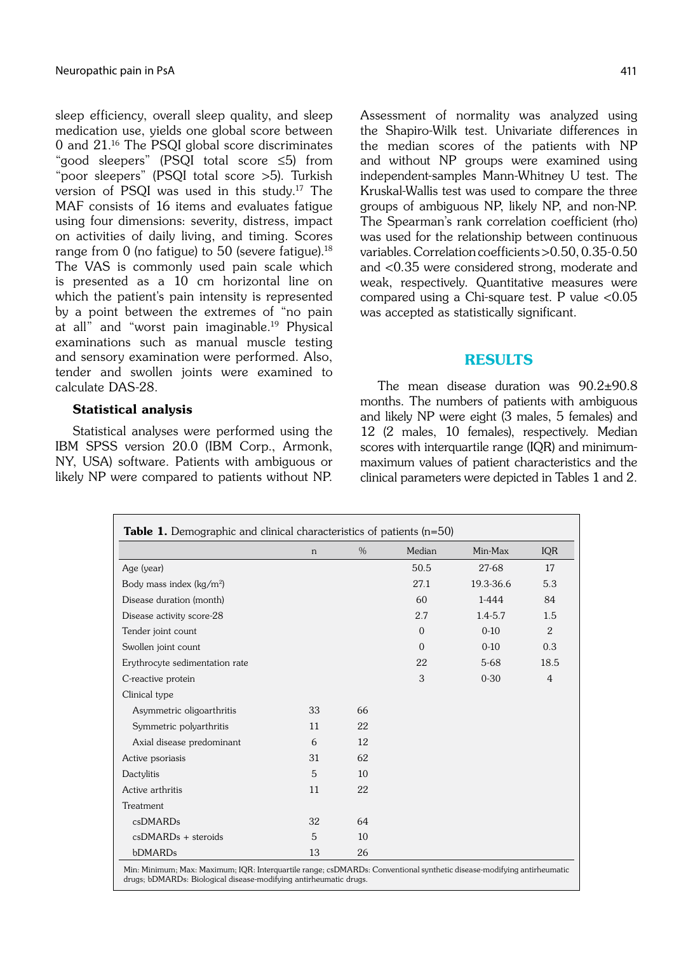sleep efficiency, overall sleep quality, and sleep medication use, yields one global score between 0 and 21.16 The PSQI global score discriminates "good sleepers" (PSQI total score ≤5) from "poor sleepers" (PSQI total score >5). Turkish version of PSQI was used in this study.17 The MAF consists of 16 items and evaluates fatigue using four dimensions: severity, distress, impact on activities of daily living, and timing. Scores range from  $0$  (no fatigue) to  $50$  (severe fatigue).<sup>18</sup> The VAS is commonly used pain scale which is presented as a 10 cm horizontal line on which the patient's pain intensity is represented by a point between the extremes of "no pain at all" and "worst pain imaginable.<sup>19</sup> Physical examinations such as manual muscle testing and sensory examination were performed. Also, tender and swollen joints were examined to calculate DAS-28.

## Statistical analysis

Statistical analyses were performed using the IBM SPSS version 20.0 (IBM Corp., Armonk, NY, USA) software. Patients with ambiguous or likely NP were compared to patients without NP. Assessment of normality was analyzed using the Shapiro-Wilk test. Univariate differences in the median scores of the patients with NP and without NP groups were examined using independent-samples Mann-Whitney U test. The Kruskal-Wallis test was used to compare the three groups of ambiguous NP, likely NP, and non-NP. The Spearman's rank correlation coefficient (rho) was used for the relationship between continuous variables. Correlation coefficients >0.50, 0.35-0.50 and <0.35 were considered strong, moderate and weak, respectively. Quantitative measures were compared using a Chi-square test. P value <0.05 was accepted as statistically significant.

## RESULTS

The mean disease duration was 90.2±90.8 months. The numbers of patients with ambiguous and likely NP were eight (3 males, 5 females) and 12 (2 males, 10 females), respectively. Median scores with interquartile range (IQR) and minimummaximum values of patient characteristics and the clinical parameters were depicted in Tables 1 and 2.

|                                | n  | $\%$ | Median         | Min-Max     | <b>IQR</b>     |
|--------------------------------|----|------|----------------|-------------|----------------|
| Age (year)                     |    |      | 50.5           | 27-68       | 17             |
| Body mass index $(kg/m2)$      |    |      | 27.1           | 19.3-36.6   | 5.3            |
| Disease duration (month)       |    |      | 60             | 1-444       | 84             |
| Disease activity score-28      |    |      | 2.7            | $1.4 - 5.7$ | 1.5            |
| Tender joint count             |    |      | $\overline{0}$ | $0 - 10$    | $\overline{2}$ |
| Swollen joint count            |    |      | $\Omega$       | $0-10$      | 0.3            |
| Erythrocyte sedimentation rate |    |      | 22             | $5-68$      | 18.5           |
| C-reactive protein             |    |      | 3              | $0 - 30$    | 4              |
| Clinical type                  |    |      |                |             |                |
| Asymmetric oligoarthritis      | 33 | 66   |                |             |                |
| Symmetric polyarthritis        | 11 | 22   |                |             |                |
| Axial disease predominant      | 6  | 12   |                |             |                |
| Active psoriasis               | 31 | 62   |                |             |                |
| Dactylitis                     | 5  | 10   |                |             |                |
| Active arthritis               | 11 | 22   |                |             |                |
| Treatment                      |    |      |                |             |                |
| csDMARDs                       | 32 | 64   |                |             |                |
| $csDMARDs + steroids$          | 5  | 10   |                |             |                |
| bDMARDs                        | 13 | 26   |                |             |                |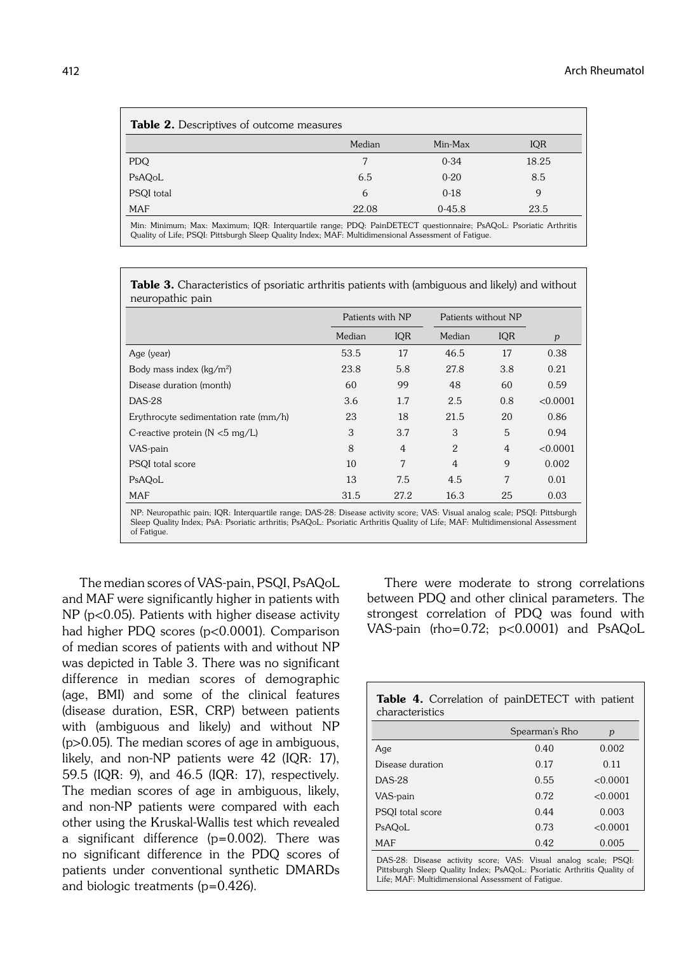| <b>Table 2.</b> Descriptives of outcome measures |        |            |       |
|--------------------------------------------------|--------|------------|-------|
|                                                  | Median | Min-Max    | IQR   |
| PDQ                                              |        | $0 - 34$   | 18.25 |
| PsAQoL                                           | 6.5    | $0 - 20$   | 8.5   |
| PSQI total                                       | 6      | $0-18$     | 9     |
| <b>MAF</b>                                       | 22.08  | $0 - 45.8$ | 23.5  |
|                                                  |        |            |       |

Min: Minimum; Max: Maximum; IQR: Interquartile range; PDQ: PainDETECT questionnaire; PsAQoL: Psoriatic Arthritis Quality of Life; PSQI: Pittsburgh Sleep Quality Index; MAF: Multidimensional Assessment of Fatigue.

Table 3. Characteristics of psoriatic arthritis patients with (ambiguous and likely) and without neuropathic pain

|                                                                                                                            | Patients with NP |                | Patients without NP |                |          |
|----------------------------------------------------------------------------------------------------------------------------|------------------|----------------|---------------------|----------------|----------|
|                                                                                                                            | Median           | <b>IOR</b>     | Median              | IQR            | p        |
| Age (year)                                                                                                                 | 53.5             | 17             | 46.5                | 17             | 0.38     |
| Body mass index $(kq/m2)$                                                                                                  | 23.8             | 5.8            | 27.8                | 3.8            | 0.21     |
| Disease duration (month)                                                                                                   | 60               | 99             | 48                  | 60             | 0.59     |
| <b>DAS-28</b>                                                                                                              | 3.6              | 1.7            | 2.5                 | 0.8            | < 0.0001 |
| Erythrocyte sedimentation rate (mm/h)                                                                                      | 23               | 18             | 21.5                | 20             | 0.86     |
| C-reactive protein ( $N < 5$ mg/L)                                                                                         | 3                | 3.7            | 3                   | 5              | 0.94     |
| VAS-pain                                                                                                                   | 8                | $\overline{4}$ | $\overline{2}$      | $\overline{4}$ | < 0.0001 |
| PSQI total score                                                                                                           | 10               | 7              | $\overline{4}$      | 9              | 0.002    |
| PsAOoL                                                                                                                     | 13               | 7.5            | 4.5                 | 7              | 0.01     |
| <b>MAF</b>                                                                                                                 | 31.5             | 27.2           | 16.3                | 25             | 0.03     |
| NP: Neuropathic pain; IQR: Interquartile range; DAS-28: Disease activity score; VAS: Visual analog scale; PSQI: Pittsburgh |                  |                |                     |                |          |

Sleep Quality Index; PsA: Psoriatic arthritis; PsAQoL: Psoriatic Arthritis Quality of Life; MAF: Multidimensional Assessment of Fatigue.

The median scores of VAS-pain, PSQI, PsAQoL and MAF were significantly higher in patients with NP (p<0.05). Patients with higher disease activity had higher PDQ scores (p<0.0001). Comparison of median scores of patients with and without NP was depicted in Table 3. There was no significant difference in median scores of demographic (age, BMI) and some of the clinical features (disease duration, ESR, CRP) between patients with (ambiguous and likely) and without NP (p>0.05). The median scores of age in ambiguous, likely, and non-NP patients were 42 (IQR: 17), 59.5 (IQR: 9), and 46.5 (IQR: 17), respectively. The median scores of age in ambiguous, likely, and non-NP patients were compared with each other using the Kruskal-Wallis test which revealed a significant difference (p=0.002). There was no significant difference in the PDQ scores of patients under conventional synthetic DMARDs and biologic treatments (p=0.426).

There were moderate to strong correlations between PDQ and other clinical parameters. The strongest correlation of PDQ was found with VAS-pain (rho=0.72; p<0.0001) and PsAQoL

| Table 4. Correlation of painDETECT with patient<br>characteristics                                                                                                                              |                |          |  |  |
|-------------------------------------------------------------------------------------------------------------------------------------------------------------------------------------------------|----------------|----------|--|--|
|                                                                                                                                                                                                 | Spearman's Rho | p        |  |  |
| Age                                                                                                                                                                                             | 0.40           | 0.002    |  |  |
| Disease duration                                                                                                                                                                                | 0.17           | 0.11     |  |  |
| <b>DAS-28</b>                                                                                                                                                                                   | 0.55           | < 0.0001 |  |  |
| VAS-pain                                                                                                                                                                                        | 0.72           | < 0.0001 |  |  |
| PSQI total score                                                                                                                                                                                | 0.44           | 0.003    |  |  |
| PsAQoL                                                                                                                                                                                          | 0.73           | < 0.0001 |  |  |
| MAF                                                                                                                                                                                             | 0.42           | 0.005    |  |  |
| DAS-28: Disease activity score; VAS: Visual analog scale; PSQI:<br>Pittsburgh Sleep Quality Index; PsAQoL: Psoriatic Arthritis Quality of<br>Life: MAF: Multidimensional Assessment of Fatigue. |                |          |  |  |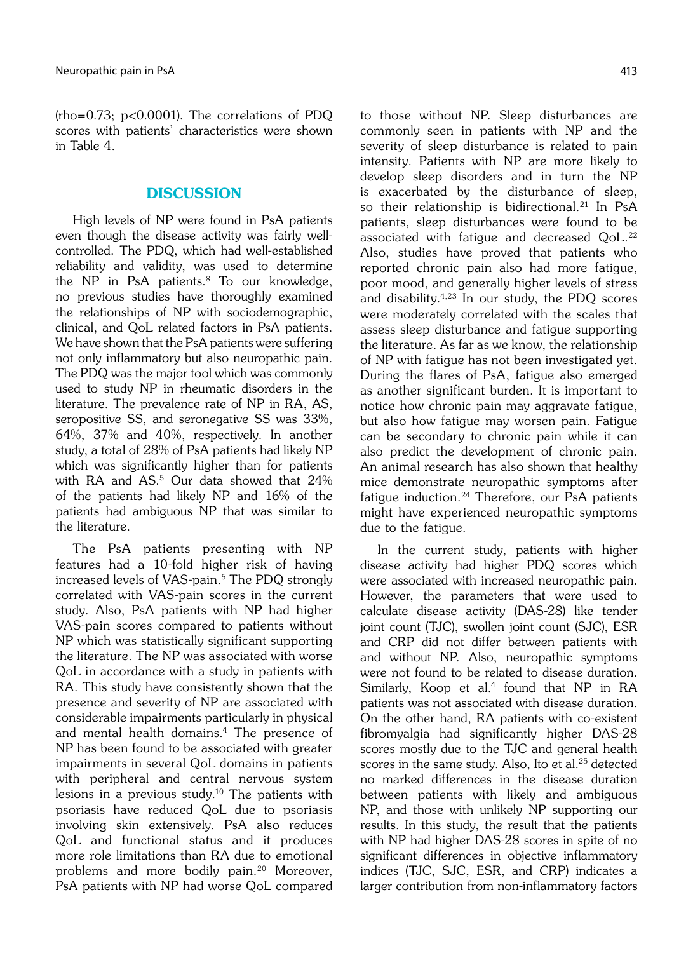(rho=0.73; p<0.0001). The correlations of PDQ scores with patients' characteristics were shown in Table 4.

# **DISCUSSION**

High levels of NP were found in PsA patients even though the disease activity was fairly wellcontrolled. The PDQ, which had well-established reliability and validity, was used to determine the NP in PsA patients.<sup>8</sup> To our knowledge, no previous studies have thoroughly examined the relationships of NP with sociodemographic, clinical, and QoL related factors in PsA patients. We have shown that the PsA patients were suffering not only inflammatory but also neuropathic pain. The PDQ was the major tool which was commonly used to study NP in rheumatic disorders in the literature. The prevalence rate of NP in RA, AS, seropositive SS, and seronegative SS was 33%, 64%, 37% and 40%, respectively. In another study, a total of 28% of PsA patients had likely NP which was significantly higher than for patients with RA and AS.<sup>5</sup> Our data showed that 24% of the patients had likely NP and 16% of the patients had ambiguous NP that was similar to the literature.

The PsA patients presenting with NP features had a 10-fold higher risk of having increased levels of VAS-pain.<sup>5</sup> The PDQ strongly correlated with VAS-pain scores in the current study. Also, PsA patients with NP had higher VAS-pain scores compared to patients without NP which was statistically significant supporting the literature. The NP was associated with worse QoL in accordance with a study in patients with RA. This study have consistently shown that the presence and severity of NP are associated with considerable impairments particularly in physical and mental health domains.4 The presence of NP has been found to be associated with greater impairments in several QoL domains in patients with peripheral and central nervous system lesions in a previous study.<sup>10</sup> The patients with psoriasis have reduced QoL due to psoriasis involving skin extensively. PsA also reduces QoL and functional status and it produces more role limitations than RA due to emotional problems and more bodily pain.20 Moreover, PsA patients with NP had worse QoL compared to those without NP. Sleep disturbances are commonly seen in patients with NP and the severity of sleep disturbance is related to pain intensity. Patients with NP are more likely to develop sleep disorders and in turn the NP is exacerbated by the disturbance of sleep, so their relationship is bidirectional.<sup>21</sup> In PsA patients, sleep disturbances were found to be associated with fatique and decreased QoL.<sup>22</sup> Also, studies have proved that patients who reported chronic pain also had more fatigue, poor mood, and generally higher levels of stress and disability.4,23 In our study, the PDQ scores were moderately correlated with the scales that assess sleep disturbance and fatigue supporting the literature. As far as we know, the relationship of NP with fatigue has not been investigated yet. During the flares of PsA, fatigue also emerged as another significant burden. It is important to notice how chronic pain may aggravate fatigue, but also how fatigue may worsen pain. Fatigue can be secondary to chronic pain while it can also predict the development of chronic pain. An animal research has also shown that healthy mice demonstrate neuropathic symptoms after fatigue induction.<sup>24</sup> Therefore, our PsA patients might have experienced neuropathic symptoms due to the fatigue.

In the current study, patients with higher disease activity had higher PDQ scores which were associated with increased neuropathic pain. However, the parameters that were used to calculate disease activity (DAS-28) like tender joint count (TJC), swollen joint count (SJC), ESR and CRP did not differ between patients with and without NP. Also, neuropathic symptoms were not found to be related to disease duration. Similarly, Koop et al.<sup>4</sup> found that NP in RA patients was not associated with disease duration. On the other hand, RA patients with co-existent fibromyalgia had significantly higher DAS-28 scores mostly due to the TJC and general health scores in the same study. Also, Ito et al.<sup>25</sup> detected no marked differences in the disease duration between patients with likely and ambiguous NP, and those with unlikely NP supporting our results. In this study, the result that the patients with NP had higher DAS-28 scores in spite of no significant differences in objective inflammatory indices (TJC, SJC, ESR, and CRP) indicates a larger contribution from non-inflammatory factors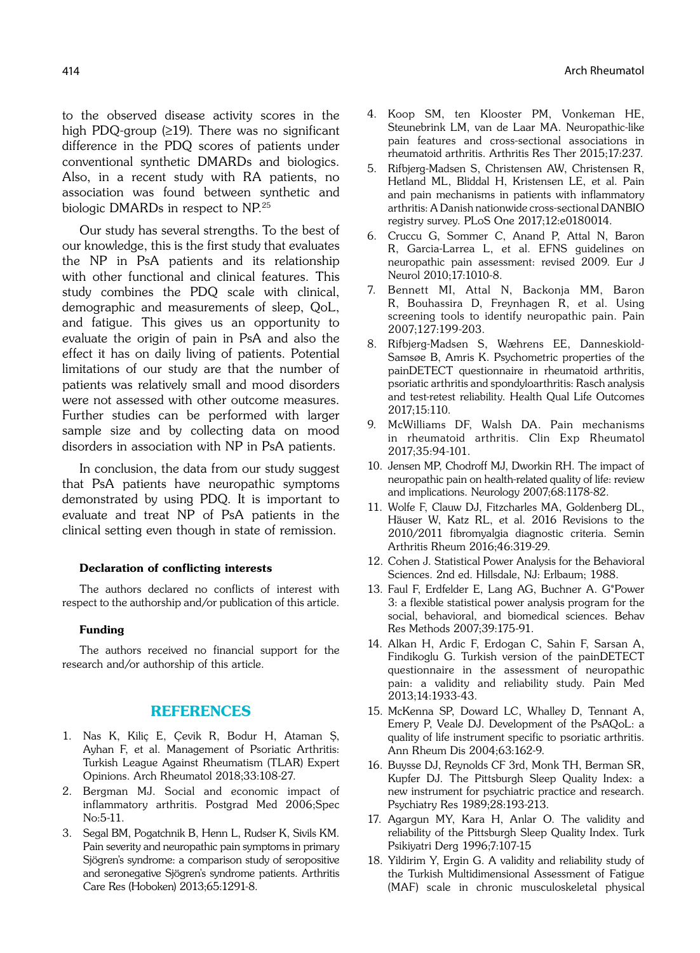to the observed disease activity scores in the high PDQ-group (≥19). There was no significant difference in the PDQ scores of patients under conventional synthetic DMARDs and biologics. Also, in a recent study with RA patients, no association was found between synthetic and biologic DMARDs in respect to NP.25

Our study has several strengths. To the best of our knowledge, this is the first study that evaluates the NP in PsA patients and its relationship with other functional and clinical features. This study combines the PDQ scale with clinical, demographic and measurements of sleep, QoL, and fatigue. This gives us an opportunity to evaluate the origin of pain in PsA and also the effect it has on daily living of patients. Potential limitations of our study are that the number of patients was relatively small and mood disorders were not assessed with other outcome measures. Further studies can be performed with larger sample size and by collecting data on mood disorders in association with NP in PsA patients.

In conclusion, the data from our study suggest that PsA patients have neuropathic symptoms demonstrated by using PDQ. It is important to evaluate and treat NP of PsA patients in the clinical setting even though in state of remission.

### Declaration of conflicting interests

The authors declared no conflicts of interest with respect to the authorship and/or publication of this article.

#### Funding

The authors received no financial support for the research and/or authorship of this article.

## REFERENCES

- 1. Nas K, Kiliç E, Çevik R, Bodur H, Ataman Ş, Ayhan F, et al. Management of Psoriatic Arthritis: Turkish League Against Rheumatism (TLAR) Expert Opinions. Arch Rheumatol 2018;33:108-27.
- 2. Bergman MJ. Social and economic impact of inflammatory arthritis. Postgrad Med 2006;Spec No:5-11.
- 3. Segal BM, Pogatchnik B, Henn L, Rudser K, Sivils KM. Pain severity and neuropathic pain symptoms in primary Sjögren's syndrome: a comparison study of seropositive and seronegative Sjögren's syndrome patients. Arthritis Care Res (Hoboken) 2013;65:1291-8.
- 4. Koop SM, ten Klooster PM, Vonkeman HE, Steunebrink LM, van de Laar MA. Neuropathic-like pain features and cross-sectional associations in rheumatoid arthritis. Arthritis Res Ther 2015;17:237.
- 5. Rifbjerg-Madsen S, Christensen AW, Christensen R, Hetland ML, Bliddal H, Kristensen LE, et al. Pain and pain mechanisms in patients with inflammatory arthritis: A Danish nationwide cross-sectional DANBIO registry survey. PLoS One 2017;12:e0180014.
- 6. Cruccu G, Sommer C, Anand P, Attal N, Baron R, Garcia-Larrea L, et al. EFNS guidelines on neuropathic pain assessment: revised 2009. Eur J Neurol 2010;17:1010-8.
- 7. Bennett MI, Attal N, Backonja MM, Baron R, Bouhassira D, Freynhagen R, et al. Using screening tools to identify neuropathic pain. Pain 2007;127:199-203.
- 8. Rifbjerg-Madsen S, Wæhrens EE, Danneskiold-Samsøe B, Amris K. Psychometric properties of the painDETECT questionnaire in rheumatoid arthritis, psoriatic arthritis and spondyloarthritis: Rasch analysis and test-retest reliability. Health Qual Life Outcomes 2017;15:110.
- 9. McWilliams DF, Walsh DA. Pain mechanisms in rheumatoid arthritis. Clin Exp Rheumatol 2017;35:94-101.
- 10. Jensen MP, Chodroff MJ, Dworkin RH. The impact of neuropathic pain on health-related quality of life: review and implications. Neurology 2007;68:1178-82.
- 11. Wolfe F, Clauw DJ, Fitzcharles MA, Goldenberg DL, Häuser W, Katz RL, et al. 2016 Revisions to the 2010/2011 fibromyalgia diagnostic criteria. Semin Arthritis Rheum 2016;46:319-29.
- 12. Cohen J. Statistical Power Analysis for the Behavioral Sciences. 2nd ed. Hillsdale, NJ: Erlbaum; 1988.
- 13. Faul F, Erdfelder E, Lang AG, Buchner A. G\*Power 3: a flexible statistical power analysis program for the social, behavioral, and biomedical sciences. Behav Res Methods 2007;39:175-91.
- 14. Alkan H, Ardic F, Erdogan C, Sahin F, Sarsan A, Findikoglu G. Turkish version of the painDETECT questionnaire in the assessment of neuropathic pain: a validity and reliability study. Pain Med 2013;14:1933-43.
- 15. McKenna SP, Doward LC, Whalley D, Tennant A, Emery P, Veale DJ. Development of the PsAQoL: a quality of life instrument specific to psoriatic arthritis. Ann Rheum Dis 2004;63:162-9.
- 16. Buysse DJ, Reynolds CF 3rd, Monk TH, Berman SR, Kupfer DJ. The Pittsburgh Sleep Quality Index: a new instrument for psychiatric practice and research. Psychiatry Res 1989;28:193-213.
- 17. Agargun MY, Kara H, Anlar O. The validity and reliability of the Pittsburgh Sleep Quality Index. Turk Psikiyatri Derg 1996;7:107-15
- 18. Yildirim Y, Ergin G. A validity and reliability study of the Turkish Multidimensional Assessment of Fatigue (MAF) scale in chronic musculoskeletal physical